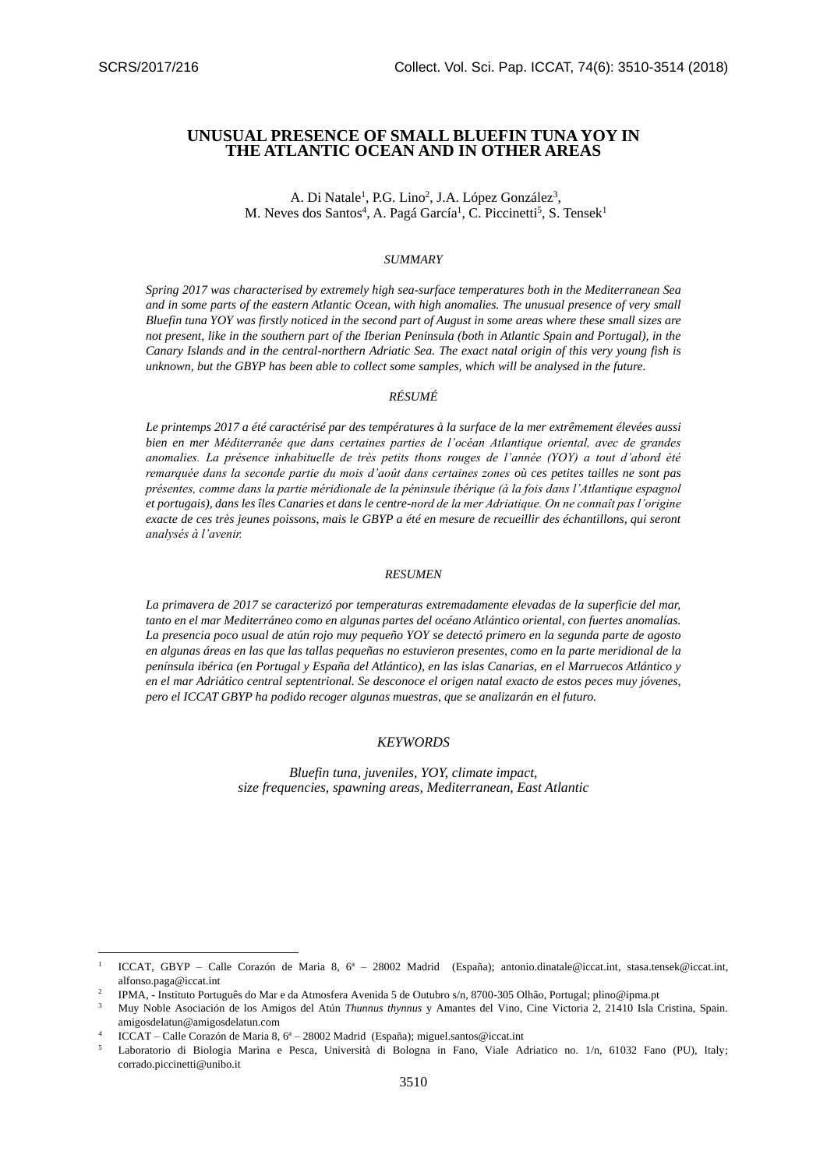$\overline{\phantom{a}}$ 

# **UNUSUAL PRESENCE OF SMALL BLUEFIN TUNA YOY IN THE ATLANTIC OCEAN AND IN OTHER AREAS**

A. Di Natale<sup>1</sup>, P.G. Lino<sup>2</sup>, J.A. López González<sup>3</sup>, M. Neves dos Santos<sup>4</sup>, A. Pagá García<sup>1</sup>, C. Piccinetti<sup>5</sup>, S. Tensek<sup>1</sup>

#### *SUMMARY*

*Spring 2017 was characterised by extremely high sea-surface temperatures both in the Mediterranean Sea and in some parts of the eastern Atlantic Ocean, with high anomalies. The unusual presence of very small Bluefin tuna YOY was firstly noticed in the second part of August in some areas where these small sizes are not present, like in the southern part of the Iberian Peninsula (both in Atlantic Spain and Portugal), in the Canary Islands and in the central-northern Adriatic Sea. The exact natal origin of this very young fish is unknown, but the GBYP has been able to collect some samples, which will be analysed in the future.*

### *RÉSUMÉ*

*Le printemps 2017 a été caractérisé par des températures à la surface de la mer extrêmement élevées aussi bien en mer Méditerranée que dans certaines parties de l'océan Atlantique oriental, avec de grandes anomalies. La présence inhabituelle de très petits thons rouges de l'année (YOY) a tout d'abord été remarquée dans la seconde partie du mois d'août dans certaines zones où ces petites tailles ne sont pas présentes, comme dans la partie méridionale de la péninsule ibérique (à la fois dans l'Atlantique espagnol et portugais), dans les îles Canaries et dans le centre-nord de la mer Adriatique. On ne connaît pas l'origine exacte de ces très jeunes poissons, mais le GBYP a été en mesure de recueillir des échantillons, qui seront analysés à l'avenir.*

#### *RESUMEN*

*La primavera de 2017 se caracterizó por temperaturas extremadamente elevadas de la superficie del mar, tanto en el mar Mediterráneo como en algunas partes del océano Atlántico oriental, con fuertes anomalías. La presencia poco usual de atún rojo muy pequeño YOY se detectó primero en la segunda parte de agosto en algunas áreas en las que las tallas pequeñas no estuvieron presentes, como en la parte meridional de la península ibérica (en Portugal y España del Atlántico), en las islas Canarias, en el Marruecos Atlántico y en el mar Adriático central septentrional. Se desconoce el origen natal exacto de estos peces muy jóvenes, pero el ICCAT GBYP ha podido recoger algunas muestras, que se analizarán en el futuro.*

## *KEYWORDS*

*Bluefin tuna, juveniles, YOY, climate impact, size frequencies, spawning areas, Mediterranean, East Atlantic*

<sup>1</sup> ICCAT, GBYP – Calle Corazón de Maria 8, 6ª – 28002 Madrid (España); [antonio.dinatale@iccat.int,](mailto:antonio.dinatale@iccat.int) [stasa.tensek@iccat.int,](mailto:stasa.tensek@iccat.int)  [alfonso.paga@iccat.int](file://///tunadata/GBYP/GBYP%20PHASE%207/SCRS/alfonso.paga@iccat.int)

 $\overline{2}$ IPMA, - Instituto Português do Mar e da Atmosfera Avenida 5 de Outubro s/n, 8700-305 Olhão, Portugal; [plino@ipma.pt](mailto:plino@ipma.pt)

<sup>3</sup> Muy Noble Asociación de los Amigos del Atún *Thunnus thynnus* y Amantes del Vino, Cine Victoria 2, 21410 Isla Cristina, Spain. [amigosdelatun@amigosdelatun.com](mailto:amigosdelatun@amigosdelatun.com)

<sup>4</sup> ICCAT – Calle Corazón de Maria 8, 6ª – 28002 Madrid (España)[; miguel.santos@iccat.int](mailto:miguel.santos@iccat.int)

<sup>5</sup> Laboratorio di Biologia Marina e Pesca, Università di Bologna in Fano, Viale Adriatico no. 1/n, 61032 Fano (PU), Italy; [corrado.piccinetti@unibo.it](mailto:corrado.piccinetti@unibo.it)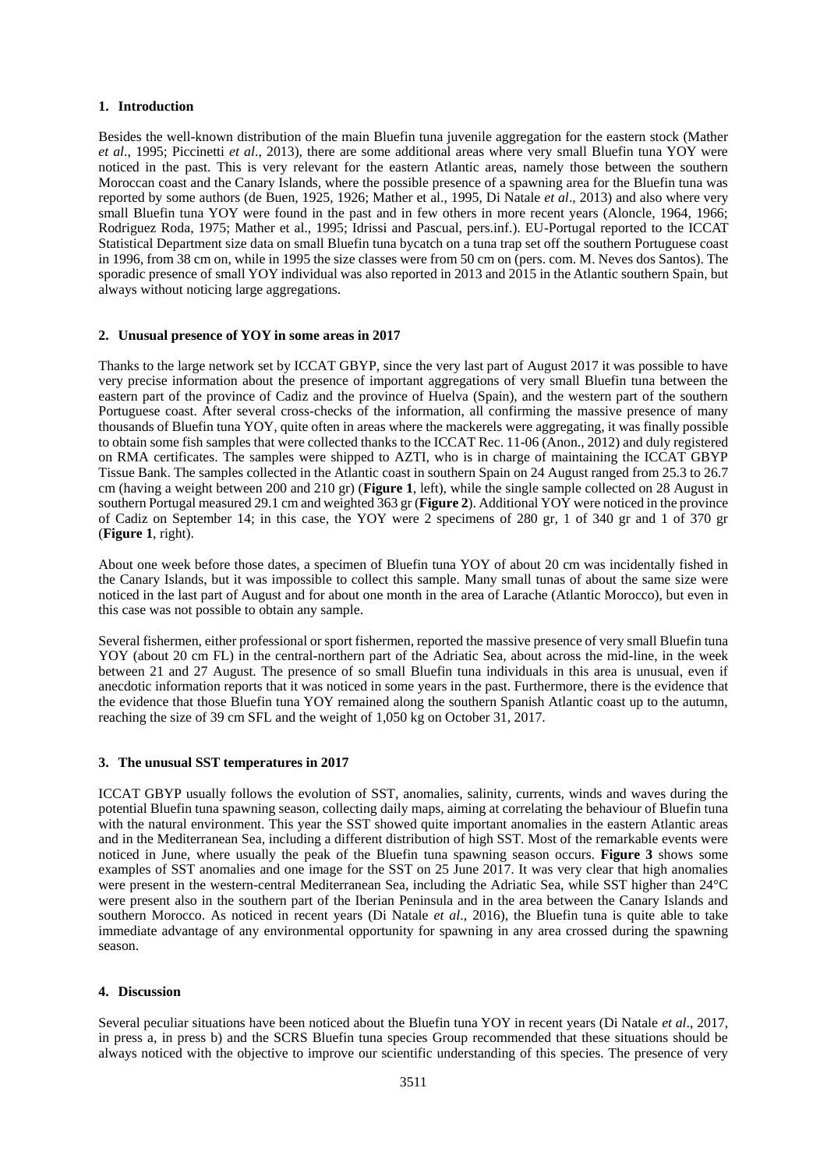## **1. Introduction**

Besides the well-known distribution of the main Bluefin tuna juvenile aggregation for the eastern stock (Mather *et al*., 1995; Piccinetti *et al*., 2013), there are some additional areas where very small Bluefin tuna YOY were noticed in the past. This is very relevant for the eastern Atlantic areas, namely those between the southern Moroccan coast and the Canary Islands, where the possible presence of a spawning area for the Bluefin tuna was reported by some authors (de Buen, 1925, 1926; Mather et al., 1995, Di Natale *et al*., 2013) and also where very small Bluefin tuna YOY were found in the past and in few others in more recent years (Aloncle, 1964, 1966; Rodriguez Roda, 1975; Mather et al., 1995; Idrissi and Pascual, pers.inf.). EU-Portugal reported to the ICCAT Statistical Department size data on small Bluefin tuna bycatch on a tuna trap set off the southern Portuguese coast in 1996, from 38 cm on, while in 1995 the size classes were from 50 cm on (pers. com. M. Neves dos Santos). The sporadic presence of small YOY individual was also reported in 2013 and 2015 in the Atlantic southern Spain, but always without noticing large aggregations.

## **2. Unusual presence of YOY in some areas in 2017**

Thanks to the large network set by ICCAT GBYP, since the very last part of August 2017 it was possible to have very precise information about the presence of important aggregations of very small Bluefin tuna between the eastern part of the province of Cadiz and the province of Huelva (Spain), and the western part of the southern Portuguese coast. After several cross-checks of the information, all confirming the massive presence of many thousands of Bluefin tuna YOY, quite often in areas where the mackerels were aggregating, it was finally possible to obtain some fish samples that were collected thanks to the ICCAT Rec. 11-06 (Anon., 2012) and duly registered on RMA certificates. The samples were shipped to AZTI, who is in charge of maintaining the ICCAT GBYP Tissue Bank. The samples collected in the Atlantic coast in southern Spain on 24 August ranged from 25.3 to 26.7 cm (having a weight between 200 and 210 gr) (**Figure 1**, left), while the single sample collected on 28 August in southern Portugal measured 29.1 cm and weighted 363 gr (**Figure 2**). Additional YOY were noticed in the province of Cadiz on September 14; in this case, the YOY were 2 specimens of 280 gr, 1 of 340 gr and 1 of 370 gr (**Figure 1**, right).

About one week before those dates, a specimen of Bluefin tuna YOY of about 20 cm was incidentally fished in the Canary Islands, but it was impossible to collect this sample. Many small tunas of about the same size were noticed in the last part of August and for about one month in the area of Larache (Atlantic Morocco), but even in this case was not possible to obtain any sample.

Several fishermen, either professional or sport fishermen, reported the massive presence of very small Bluefin tuna YOY (about 20 cm FL) in the central-northern part of the Adriatic Sea, about across the mid-line, in the week between 21 and 27 August. The presence of so small Bluefin tuna individuals in this area is unusual, even if anecdotic information reports that it was noticed in some years in the past. Furthermore, there is the evidence that the evidence that those Bluefin tuna YOY remained along the southern Spanish Atlantic coast up to the autumn, reaching the size of 39 cm SFL and the weight of 1,050 kg on October 31, 2017.

## **3. The unusual SST temperatures in 2017**

ICCAT GBYP usually follows the evolution of SST, anomalies, salinity, currents, winds and waves during the potential Bluefin tuna spawning season, collecting daily maps, aiming at correlating the behaviour of Bluefin tuna with the natural environment. This year the SST showed quite important anomalies in the eastern Atlantic areas and in the Mediterranean Sea, including a different distribution of high SST. Most of the remarkable events were noticed in June, where usually the peak of the Bluefin tuna spawning season occurs. **Figure 3** shows some examples of SST anomalies and one image for the SST on 25 June 2017. It was very clear that high anomalies were present in the western-central Mediterranean Sea, including the Adriatic Sea, while SST higher than 24°C were present also in the southern part of the Iberian Peninsula and in the area between the Canary Islands and southern Morocco. As noticed in recent years (Di Natale *et al*., 2016), the Bluefin tuna is quite able to take immediate advantage of any environmental opportunity for spawning in any area crossed during the spawning season.

## **4. Discussion**

Several peculiar situations have been noticed about the Bluefin tuna YOY in recent years (Di Natale *et al*., 2017, in press a, in press b) and the SCRS Bluefin tuna species Group recommended that these situations should be always noticed with the objective to improve our scientific understanding of this species. The presence of very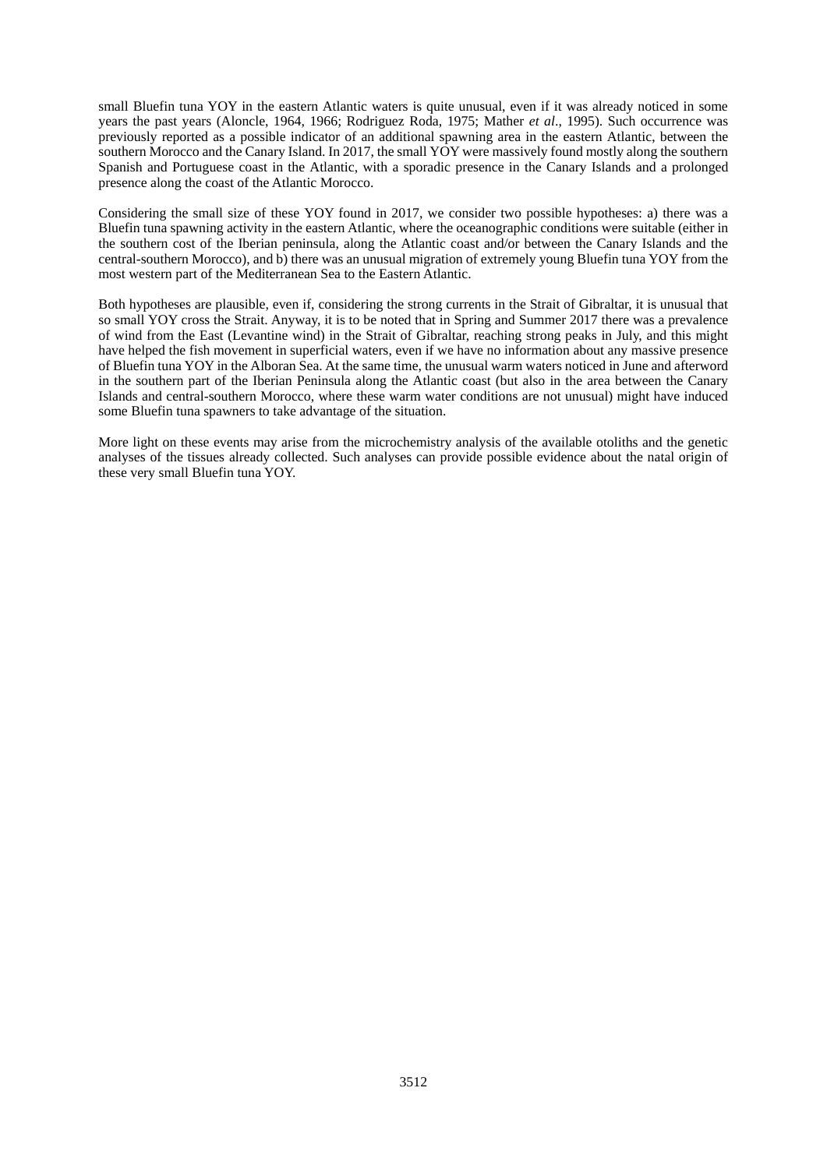small Bluefin tuna YOY in the eastern Atlantic waters is quite unusual, even if it was already noticed in some years the past years (Aloncle, 1964, 1966; Rodriguez Roda, 1975; Mather *et al*., 1995). Such occurrence was previously reported as a possible indicator of an additional spawning area in the eastern Atlantic, between the southern Morocco and the Canary Island. In 2017, the small YOY were massively found mostly along the southern Spanish and Portuguese coast in the Atlantic, with a sporadic presence in the Canary Islands and a prolonged presence along the coast of the Atlantic Morocco.

Considering the small size of these YOY found in 2017, we consider two possible hypotheses: a) there was a Bluefin tuna spawning activity in the eastern Atlantic, where the oceanographic conditions were suitable (either in the southern cost of the Iberian peninsula, along the Atlantic coast and/or between the Canary Islands and the central-southern Morocco), and b) there was an unusual migration of extremely young Bluefin tuna YOY from the most western part of the Mediterranean Sea to the Eastern Atlantic.

Both hypotheses are plausible, even if, considering the strong currents in the Strait of Gibraltar, it is unusual that so small YOY cross the Strait. Anyway, it is to be noted that in Spring and Summer 2017 there was a prevalence of wind from the East (Levantine wind) in the Strait of Gibraltar, reaching strong peaks in July, and this might have helped the fish movement in superficial waters, even if we have no information about any massive presence of Bluefin tuna YOY in the Alboran Sea. At the same time, the unusual warm waters noticed in June and afterword in the southern part of the Iberian Peninsula along the Atlantic coast (but also in the area between the Canary Islands and central-southern Morocco, where these warm water conditions are not unusual) might have induced some Bluefin tuna spawners to take advantage of the situation.

More light on these events may arise from the microchemistry analysis of the available otoliths and the genetic analyses of the tissues already collected. Such analyses can provide possible evidence about the natal origin of these very small Bluefin tuna YOY.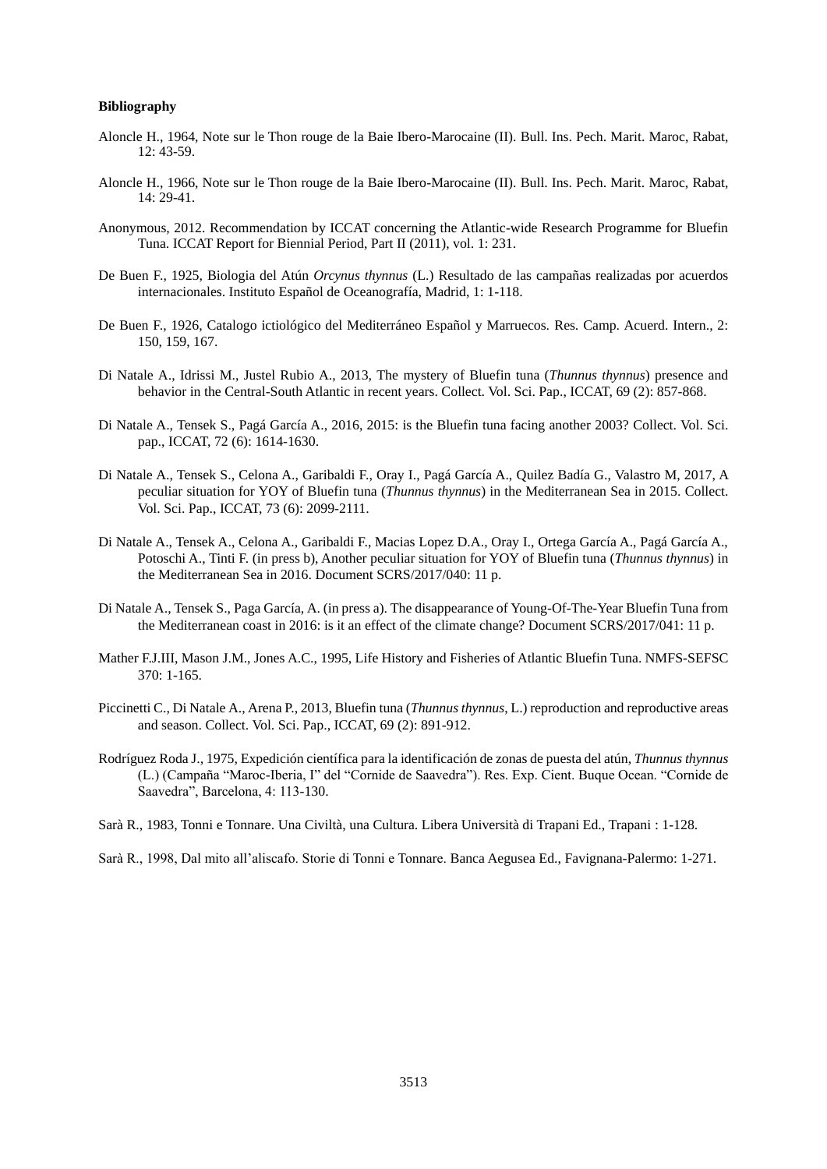## **Bibliography**

- Aloncle H., 1964, Note sur le Thon rouge de la Baie Ibero-Marocaine (II). Bull. Ins. Pech. Marit. Maroc, Rabat, 12: 43-59.
- Aloncle H., 1966, Note sur le Thon rouge de la Baie Ibero-Marocaine (II). Bull. Ins. Pech. Marit. Maroc, Rabat, 14: 29-41.
- Anonymous, 2012. Recommendation by ICCAT concerning the Atlantic-wide Research Programme for Bluefin Tuna. ICCAT Report for Biennial Period, Part II (2011), vol. 1: 231.
- De Buen F., 1925, Biologia del Atún *Orcynus thynnus* (L.) Resultado de las campañas realizadas por acuerdos internacionales. Instituto Español de Oceanografía, Madrid, 1: 1-118.
- De Buen F., 1926, Catalogo ictiológico del Mediterráneo Español y Marruecos. Res. Camp. Acuerd. Intern., 2: 150, 159, 167.
- Di Natale A., Idrissi M., Justel Rubio A., 2013, The mystery of Bluefin tuna (*Thunnus thynnus*) presence and behavior in the Central-South Atlantic in recent years. Collect. Vol. Sci. Pap., ICCAT, 69 (2): 857-868.
- Di Natale A., Tensek S., Pagá García A., 2016, 2015: is the Bluefin tuna facing another 2003? Collect. Vol. Sci. pap., ICCAT, 72 (6): 1614-1630.
- Di Natale A., Tensek S., Celona A., Garibaldi F., Oray I., Pagá García A., Quilez Badía G., Valastro M, 2017, A peculiar situation for YOY of Bluefin tuna (*Thunnus thynnus*) in the Mediterranean Sea in 2015. Collect. Vol. Sci. Pap., ICCAT, 73 (6): 2099-2111.
- Di Natale A., Tensek A., Celona A., Garibaldi F., Macias Lopez D.A., Oray I., Ortega García A., Pagá García A., Potoschi A., Tinti F. (in press b), Another peculiar situation for YOY of Bluefin tuna (*Thunnus thynnus*) in the Mediterranean Sea in 2016. Document SCRS/2017/040: 11 p.
- Di Natale A., Tensek S., Paga García, A. (in press a). The disappearance of Young-Of-The-Year Bluefin Tuna from the Mediterranean coast in 2016: is it an effect of the climate change? Document SCRS/2017/041: 11 p.
- Mather F.J.III, Mason J.M., Jones A.C., 1995, Life History and Fisheries of Atlantic Bluefin Tuna. NMFS-SEFSC 370: 1-165.
- Piccinetti C., Di Natale A., Arena P., 2013, Bluefin tuna (*Thunnus thynnus*, L.) reproduction and reproductive areas and season. Collect. Vol. Sci. Pap., ICCAT, 69 (2): 891-912.
- Rodríguez Roda J., 1975, Expedición científica para la identificación de zonas de puesta del atún, *Thunnus thynnus* (L.) (Campaña "Maroc-Iberia, I" del "Cornide de Saavedra"). Res. Exp. Cient. Buque Ocean. "Cornide de Saavedra", Barcelona, 4: 113-130.
- Sarà R., 1983, Tonni e Tonnare. Una Civiltà, una Cultura. Libera Università di Trapani Ed., Trapani : 1-128.

Sarà R., 1998, Dal mito all'aliscafo. Storie di Tonni e Tonnare. Banca Aegusea Ed., Favignana-Palermo: 1-271.